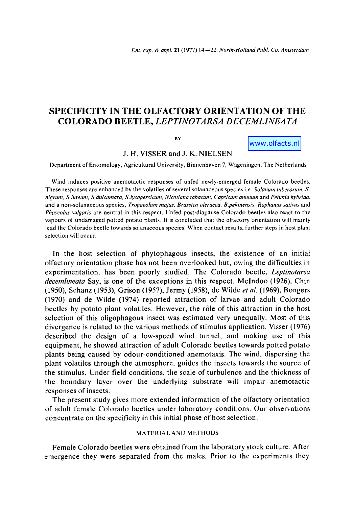# **SPECIFICITY IN THE OLFACTORY ORIENTATION OF** THE COLORADO BEETLE, *LEPTINOTARSA DECEMLINEA TA*

**BY** 

www.olfacts.nl

**J. H. VISSER and J. K. NIELSEN** 

Department of Entomology, Agricultural University, Binnenhaven 7, Wageningen, The Netherlands

Wind induces positive anemotactic responses of unfed newly-emerged female Colorado beetles. These responses are enhanced by the volatiles of several solanaceous species i.e. *Solanum tuberosum, S. nigrum, S. luteum, S.dulcamara, S.lycopersicum, Nicotiana tabacum, Capsicum annuum* and *Petunia hybrida,*  and a non-solanaceous species, *Tropaeolum majus. Brassica oleracea, B.pekinensis, Raphanus sativus* and *Phaseolus vulgaris* are neutral in this respect. Unfed post-diapause Colorado beetles also react to the vapours of undamaged potted potato plants, it is concluded that the olfactory orientation will mainly lead the Colorado beetle towards solanaceous species. When contact results, further steps in host plant selection will occur.

In the host selection of phytophagous insects, the existence of an initial olfactory orientation phase has not been overlooked but, owing the difficulties in experimentation, has been poorly studied. The Colorado beetle, *Leptinotarsa decemlineata* Say, is one of the exceptions in this respect. Mclndoo (1926), Chin (1950), Schanz (1953), Grison (1957), Jermy (1958), de Wilde *et al.* (1969), Bongers (1970) and de Wilde (1974) reported attraction of larvae and adult Colorado beetles by potato plant volatiles. However, the r61e of this attraction in the host selection of this oligophagous insect was estimated very unequally. Most of this divergence is related to the various methods of stimulus application. Visser (1976) described the design of a low-speed wind tunnel, and making use of this equipment, he showed attraction of adult Colorado beetles towards potted potato plants being caused by odour-conditioned anemotaxis. The wind, dispersing the plant volatiles through the atmosphere, guides the insects towards the source of the stimulus. Under field conditions, tile scale of turbulence and the thickness of the boundary layer over the underlying substrate will impair anemotactic responses of insects.

The present study gives more extended information of the olfactory orientation of adult female Colorado beetles under laboratory conditions. Our observations concentrate on the specificity in this initial phase of host selection.

# MATERIAL AND METHODS

Female Colorado beetles were obtained from the laboratory stock culture. After emergence they were separated from the males. Prior to the experiments they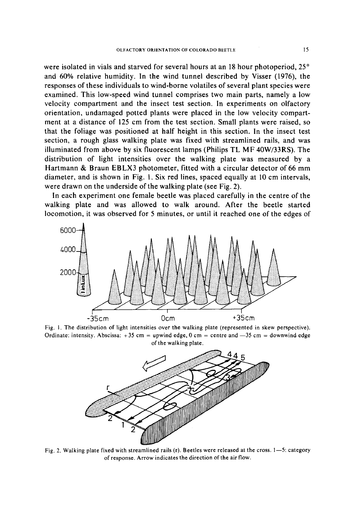were isolated in vials and starved for several hours at an 18 hour photoperiod,  $25^{\circ}$ and 60% relative humidity. In the wind tunnel described by Visser (1976), the responses of these individuals to wind-borne volatiles of several plant species were examined. This low-speed wind tunnel comprises two main parts, namely a low velocity compartment and the insect test section. In experiments on olfactory orientation, undamaged potted plants were placed in the low velocity compartment at a distance of 125 cm from the test section. Small plants were raised, so that the foliage was positioned at half height in this section. In the insect test section, a rough glass walking plate was fixed with streamlined rails, and was illuminated from above by six fluorescent lamps (Philips TL MF 40W/33RS). The distribution of light intensities over the walking plate was measured by a Hartmann & Braun EBLX3 photometer, fitted with a circular detector of 66 mm diameter, and is shown in Fig. 1. Six red lines, spaced equally at 10 cm intervals, were drawn on the underside of the walking plate (see Fig. 2).

In each experiment one female beetle was placed carefully in the centre of the walking plate and was allowed to walk around. After the beetle started locomotion, it was observed for 5 minutes, or until it reached one of the edges of



Fig. 1. The distribution of light intensities over the walking plate (represented in skew perspective). Ordinate: intensity. Abscissa:  $+35$  cm = upwind edge, 0 cm = centre and  $-35$  cm = downwind edge of the walking plate.



Fig. 2. Walking plate fixed with streamlined rails (r). Beetles were released at the cross. 1-5: category of response. Arrow indicates the direction of the air flow.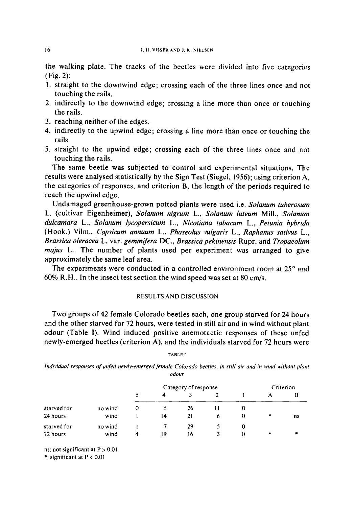the walking plate. The tracks of the beetles were divided into five categories (Fig. 2):

- 1. straight to the downwind edge; crossing each of the three lines once and not touching the rails.
- 2. indirectly to the downwind edge; crossing a line more than once or touching the rails.
- 3. reaching neither of the edges.
- 4. indirectly to the upwind edge; crossing a line more than once or touching the rails.
- 5. straight to the upwind edge; crossing each of the three lines once and not touching the rails.

The same beetle was subjected to control and experimental situations. The results were analysed statistically by the Sign Test (Siegel, 1956); using criterion A, the categories of responses, and criterion B, the length of the periods required to reach the upwind edge.

Undamaged greenhouse-grown potted plants were used i.e. *Solanum tuberosum*  L. (cultivar Eigenheimer), *Solanum nigrum L., Solanum luteum* Mill., *Solanum dulcamara* L., *Solanum lycopersicum L., Nicotiana tabacum L., Petunia hybrida*  (Hook.) Vilm., *Capsicum annuum* L., *Phaseolus vulgaris* L., *Raphanus sativus* L., *Brassica oleracea* L. var. *gemmifera* DC., *Brassica pekinensis* Rupr. and *Tropaeolum majus* L.. The number of plants used per experiment was arranged to give approximately the same leaf area.

The experiments were conducted in a controlled environment room at  $25^\circ$  and 60% R.H.. In the insect test section the wind speed was set at 80 cm/s.

## RESULTS AND DISCUSSION

Two groups of 42 female Colorado beetles each, one group starved for 24 hours and the other starved for 72 hours, were tested in still air and in wind without plant odour (Table I). Wind induced positive anemotactic responses of these unfed newly-emerged beetles (criterion A), and the individuals starved for 72 hours were

#### TABLEI

*Individual responses of unfed newly-emerged female Colorado beetles, in still air and in wind without plant odour* 

|             |         |   |    | Category of response |   |          |        | Criterion |
|-------------|---------|---|----|----------------------|---|----------|--------|-----------|
|             |         | 5 | 4  |                      |   |          |        | В         |
| starved for | no wind | O |    | 26                   |   |          |        |           |
| 24 hours    | wind    |   | 14 | 21                   | 6 |          | $\ast$ | ns        |
| starved for | no wind |   |    | 29                   |   |          |        |           |
| 72 hours    | wind    | 4 | 19 | 16                   |   | $\Omega$ | *      | ۰         |

ns: not significant at  $P > 0.01$ 

\*: significant at P < 0.01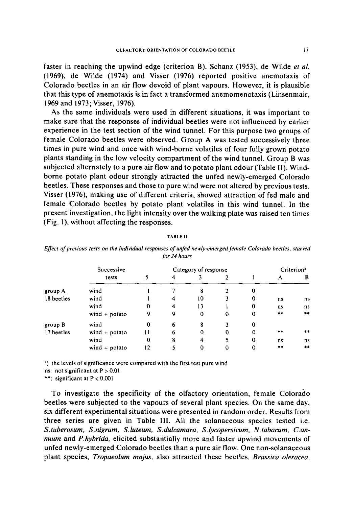faster in reaching the upwind edge (criterion B). Schanz (1953), de Wilde *et al.*  (1969), de Wilde (1974) and Visser (1976) reported positive anemotaxis of Colorado beetles in an air flow devoid of plant vapours. However, it is plausible that this type of anemotaxis is in fact a transformed anemomenotaxis (Linsenmair, 1969 and 1973; Visser, 1976).

As the same individuals were used in different situations, it was important to make sure that the responses of individual beetles were not influenced by earlier experience in the test section of the wind tunnel. For this purpose two groups of female Colorado beetles were observed. Group A was tested successively three times in pure wind and once with wind-borne volatiles of four fully grown potato plants standing in the low velocity compartment of the wind tunnel. Group B was subjected alternately to a pure air flow and to potato plant odour (Table II). Windborne potato plant odour strongly attracted the unfed newly-emerged Colorado beetles. These responses and those to pure wind were not altered by previous tests. Visser (1976), making use of different criteria, showed attraction of fed male and female Colorado beetles by potato plant volatiles in this wind tunnel. In the present investigation, the light intensity over the walking plate was raised ten times (Fig. 1), without affecting the responses.

|            | Successive      |    |   | Category of response |          |             |       | Criterion <sup>2</sup> |
|------------|-----------------|----|---|----------------------|----------|-------------|-------|------------------------|
|            | tests           |    | 4 |                      |          |             | А     | B                      |
| group A    | wind            |    |   | 8                    |          | 0           |       |                        |
| 18 beetles | wind            |    | 4 | 10                   |          | 0           | ns    | ns                     |
|            | wind            | 0  | 4 | 13                   |          | 0           | ns    | ns                     |
|            | wind + potato   | 9  | 9 | $\bf{0}$             | $\Omega$ | $\mathbf 0$ | $* *$ | $\star$ $\star$        |
| group B    | wind            | 0  | 6 | 8                    |          | $\Omega$    |       |                        |
| 17 beetles | wind $+$ potato |    | 6 | 0                    | $\Omega$ | $\Omega$    | **    | $\times$ $\times$      |
|            | wind            | 0  | 8 | 4                    |          | 0           | ns    | ns                     |
|            | wind + potato   | 12 |   | 0                    | U        |             | **    | $\star \times$         |

#### TABLE I1

*Effect of previous tests on the individual responses of unfed newly-emerged female Colorado beetles, starved for 24 hours* 

2) the levels of significance were compared with the first test pure wind

ns: not significant at  $P > 0.01$ 

\*\*: significant at P < 0.001

To investigate the specificity of the olfactory orientation, female Colorado beetles were subjected to the vapours of several plant species. On the same day, six different experimental situations were presented in random order. Results from three series are given in Table III. All the solanaceous species tested i.e. *S.tuberosum, S.nigrum, S.luteum, S.duicamara, S.lycopersicum, N.tabacum, C.annuum* and *P.hybrida,* elicited substantially more and faster upwind movements of unfed newly-emerged Colorado beetles than a pure air flow. One non-solanaceous plant species, *Tropaeolum majus,* also attracted these beetles. *Brassica oleracea,*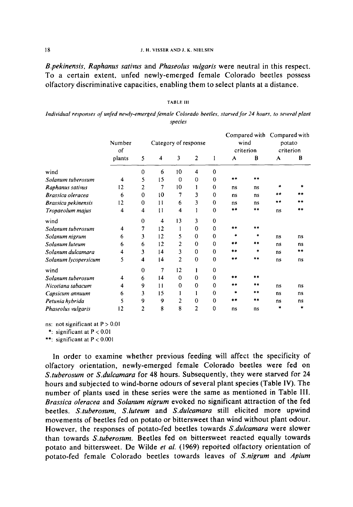#### ] 8 J. H. VISSER AND J. K. NIELSEN

*B.pekinensis, Raphanus sativus* **and** *Phaseolus vulgaris* **were neutral in this respect. To a certain extent, unfed newly-emerged female Colorado beetles possess olfactory discriminative capacities, enabling them to select plants at a distance.** 

## TABLE 111

*Individual responses of unfed newly-emerged female Colorado beetles, starved for 24 hours, to several plant species* 

|                      | Number<br>of | Category of response    |                         |          |                | wind<br>criterion |       | Compared with Compared with<br>potato<br>criterion |    |    |
|----------------------|--------------|-------------------------|-------------------------|----------|----------------|-------------------|-------|----------------------------------------------------|----|----|
|                      | plants       | 5                       | $\overline{\mathbf{4}}$ | 3        | $\overline{c}$ | 1                 | A     | B                                                  | A  | В  |
| wind                 |              | 0                       | 6                       | 10       | 4              | $\theta$          |       |                                                    |    |    |
| Solanum tuberosum    | 4            | 5                       | 15                      | $\bf{0}$ | 0              | $\Omega$          | **    | **                                                 |    |    |
| Raphanus sativus     | 12           | 2                       | 7                       | 10       |                | $\Omega$          | ns    | ns                                                 | *  |    |
| Brassica oleracea    | 6            | 0                       | 10                      | 7        | 3              | $\Omega$          | ns    | ns                                                 | ** |    |
| Brassica pekinensis  | 12           | $\bf{0}$                | 11                      | 6        | 3              | $\bf{0}$          | ns    | ns                                                 | ** |    |
| Tropaeolum majus     | 4            | $\overline{\mathbf{4}}$ | 11                      | 4        |                | $\Omega$          | **    | **                                                 | ns | ** |
| wind                 |              | $\bf{0}$                | 4                       | 13       | 3              | $\bf{0}$          |       |                                                    |    |    |
| Solanum tuberosum    | 4            | 7                       | 12                      |          | 0              | 0                 | $**$  | **                                                 |    |    |
| Solanum nigrum       | 6            | 3                       | 12                      | 5        | $\mathbf 0$    | 0                 | ×.    | $\mathbf{r}$                                       | ns | ns |
| Solanum luteum       | 6            | 6                       | 12                      | 2        | $\bf{0}$       | 0                 | $* *$ | $* *$                                              | ns | ns |
| Solanum dulcamara    | 4            | 3                       | 14                      | 3        | $\mathbf 0$    | $\Omega$          | **    | $\star$                                            | ns | ** |
| Solanum lycopersicum | 5            | $\overline{\mathbf{4}}$ | 14                      | 2        | $\bf{0}$       | 0                 | **    | **                                                 | ns | ns |
| wind                 |              | 0                       | 7                       | 12       | ı              | 0                 |       |                                                    |    |    |
| Solanum tuberosum    | 4            | 6                       | 14                      | $\Omega$ | $\mathbf 0$    | 0                 | **    | **                                                 |    |    |
| Nicotiana tabacum    | 4            | 9                       | 11                      | $\bf{0}$ | $\bf{0}$       | 0                 | $***$ | $***$                                              | ns | ns |
| Capsicum annuum      | 6            | 3                       | 15                      |          | 1              | 0                 | *     | **                                                 | ns | ns |
| Petunia hybrida      | 5            | 9                       | 9                       | 2        | $\mathbf{0}$   | $\Omega$          | **    | $***$                                              | ns | ns |
| Phaseolus vulgaris   | 12           | 2                       | 8                       | 8        | 2              | 0                 | ns    | ns                                                 | *  | ∗  |

**ns: not significant at** P > 0.01

\*: significant at  $P < 0.01$ 

\*\*: significant at P < 0.001

**In order to examine whether previous feeding will affect the specificity of olfactory orientation, newly-emerged female Colorado beetles were fed on**  *S.tuberosum* **or** *S.dulcamara* **for 48 hours. Subsequently, they were starved for 24 hours and subjected to wind-borne odours of several plant species (Table IV). The number of plants used in these series were the same as mentioned in Table III.**  *Brassica oleracea* **and** *Solanum nigrum* **evoked no significant attraction of the fed beetles.** *S.tuberosum, S.luteum* **and** *S.dulcamara* **still elicited more upwind movements of beetles fed on potato or bittersweet than wind without plant odour. However, the responses of potato-fed beetles towards** *S.duleamara* **were slower than towards** *S.tuberosum.* **Beetles fed on bittersweet reacted equally towards potato and bittersweet. De Wilde** *et al.* **(1969) repoi'ted olfactory orientation of potato-fed female Colorado beetles towards leaves of** *S.nigrum* **and** *Apium*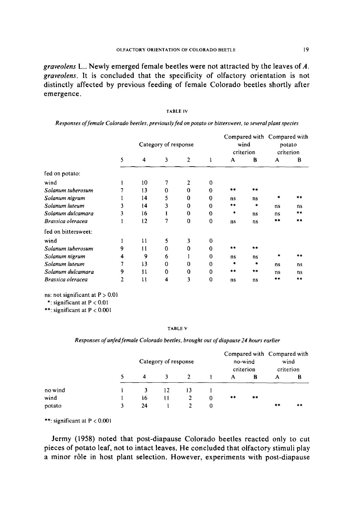*graveolens* L.. Newly emerged female beetles were not attracted by the leaves of A. *graveolens.* It is concluded that the specificity of olfactory orientation is not distinctly affected by previous feeding of female Colorado beetles shortly after emergence.

| <b>ABLE IV</b> |
|----------------|
|----------------|

| Responses of female Colorado beetles, previously fed on potato or bittersweet, to several plant species |  |  |
|---------------------------------------------------------------------------------------------------------|--|--|
|---------------------------------------------------------------------------------------------------------|--|--|

|                     |   | Category of response |          |              |             |      | wind<br>criterion | Compared with Compared with<br>potato<br>criterion |       |
|---------------------|---|----------------------|----------|--------------|-------------|------|-------------------|----------------------------------------------------|-------|
|                     | 5 | 4                    | 3        | $\mathbf{2}$ | 1           | A    | B                 | A                                                  | В     |
| fed on potato:      |   |                      |          |              |             |      |                   |                                                    |       |
| wind                |   | 10                   |          | 2            | 0           |      |                   |                                                    |       |
| Solanum tuberosum   |   | 13                   | 0        | $\Omega$     | 0           | $**$ | **                |                                                    |       |
| Solanum nigrum      |   | 14                   | 5        | 0            | 0           | ns   | ns                | 粛                                                  | $***$ |
| Solanum luteum      | 3 | 14                   | 3        | 0            | 0           | **   | ٠                 | ns                                                 | ns    |
| Solanum dulcamara   | 3 | 16                   |          | 0            | $\Omega$    | ۰    | ns                | ns                                                 | $**$  |
| Brassica oleracea   |   | $12 \overline{ }$    | 7        | $\Omega$     | $\mathbf 0$ | ns   | ns                | **                                                 | $* *$ |
| fed on bittersweet: |   |                      |          |              |             |      |                   |                                                    |       |
| wind                |   | 11                   | 5        | 3            | 0           |      |                   |                                                    |       |
| Solanum tuberosum   | 9 | 11                   | 0        | 0            | $\Omega$    | **   | $***$             |                                                    |       |
| Solanum nigrum      | 4 | 9                    | 6        |              | 0           | ns   | ns                | *                                                  | **    |
| Solanum luteum      | 7 | 13                   | $\Omega$ | 0            | $\Omega$    | *    | ۰                 | ns                                                 | ns    |
| Solanum dulcamara   | 9 | 11                   | 0        | 0            | 0           | **   | $+ +$             | ns                                                 | ns    |
| Brassica oleracea   | 2 | $\mathbf{1}$         | 4        | 3            | 0           | ns   | ns                | **                                                 | **    |

ns: not significant at  $P > 0.01$ 

\*: significant at  $P < 0.01$ 

\*\*: significant at  $P < 0.001$ 

#### TABLE v

*Responses of unfed female Colorado beetles, brought out of diapause 24 hours earlier* 

|         | Category of response |    |    |   |    |       | Compared with Compared with | wind<br>criterion |
|---------|----------------------|----|----|---|----|-------|-----------------------------|-------------------|
|         | 4                    |    |    |   | A  | в     | А                           | в                 |
| no wind |                      | 12 | 13 |   |    |       |                             |                   |
| wind    | 16                   | 11 |    | 0 | ** | $***$ |                             |                   |
| potato  | 24                   |    |    | 0 |    |       | **                          | **                |

\*\*: significant at P < 0.001

**Jermy (1958) noted that post-diapause Colorado beetles reacted only to cut pieces of potato leaf, not to intact leaves. He concluded that olfactory stimuli play a minor r61e in host plant selection. However, experiments with post-diapause**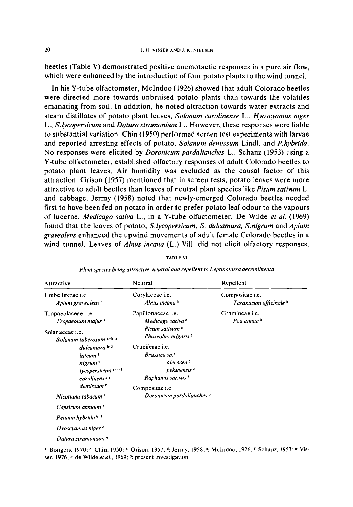**beetles (Table V) demonstrated positive anemotactic responses in a pure air flow, which were enhanced by the introduction of four potato plants to the wind tunnel.** 

**In his Y-tube olfactometer, Mclndoo (1926) showed that adult Colorado beetles were directed more towards unbruised potato plants than towards the volatiles emanating from soil. In addition, he noted attraction towards water extracts and steam distillates of potato plant leaves,** *Solanurn carolinense L., Hyoscyamus niger*  **L.,** *S.lycopersicum* **and** *Datura stramonium L..* **However, these responses were liable to substantial variation. Chin (1950) performed screen test experiments with larvae and reported arresting effects of potato,** *Solanum demissum* **Lindl. and** *P.hybrida.*  **No responses were elicited by** *Doronicum pardalianches* **L.. Schanz (1953) using a Y-tube olfactometer, established olfactory responses of adult Colorado beetles to potato plant leaves. Air humidity was excluded as the causal factor of this attraction. Grison (1957) mentioned that in screen tests, potato leaves were more attractive to adult beetles than leaves of neutral plant species like** *Pisum sativum L.*  **and cabbage. Jermy (1958) noted that newly-emerged Colorado beetles needed first to have been fed on potato in order to prefer potato leaf odour to the vapours of lucerne,** *Medicago sativa* **L., in a Y-tube olfactometer. De Wilde** *et al.* **(1969) found that the leaves of potato,** *S.lycopersicum, S. dulcamara, S.nigrum* **and** *Apium graveolens* **enhanced the upwind movements of adult female Colorado beetles in a wind tunnel. Leaves of** *Alnus incana* **(L.) Vill. did not elicit olfactory responses,** 

| Attractive                                                                                                                                              | Neutral                                                                                                                                                     | Repellent                                                   |
|---------------------------------------------------------------------------------------------------------------------------------------------------------|-------------------------------------------------------------------------------------------------------------------------------------------------------------|-------------------------------------------------------------|
| Umbelliferae <i>i.e.</i><br>Apium graveolens h                                                                                                          | Corvlaceae <i>i.e.</i><br>Alnus incana h                                                                                                                    | Compositae <i>i.e.</i><br>Taraxacum officinale <sup>h</sup> |
| Tropaeolaceae, <i>i.e.</i><br>Tropaeolum majus 3<br>Solanaceae <i>i.e.</i><br>Solanum tuberosum a-h.3                                                   | Papilionaceae <i>i.e.</i><br>Medicago sativa d<br>Pisum sativum <sup>c</sup><br>Phaseolus vulgaris <sup>3</sup>                                             | Gramineae <i>i.e.</i><br>Poa annua h                        |
| dulcamara h <sup>13</sup><br>luteum <sup>3</sup><br>nigrum $\mathbb{N}^3$<br>$lycopersicum$ e.h. <sup>3</sup><br>carolinense <sup>e</sup><br>demissum b | Cruciferae <i>i.e.</i><br>Brassica sp. <sup>c</sup><br>oleracea <sup>3</sup><br>pekinensis <sup>3</sup><br>Raphanus sativus <sup>3</sup><br>Compositae i.e. |                                                             |
| Nicotiana tabacum <sup>3</sup><br>Capsicum annuum <sup>3</sup>                                                                                          | Doronicum pardalianches b                                                                                                                                   |                                                             |
| Petunia hybrida b.3<br>Hyoscyamus niger $\epsilon$                                                                                                      |                                                                                                                                                             |                                                             |
| Datura stramonium <sup>e</sup>                                                                                                                          |                                                                                                                                                             |                                                             |

TABLE VI *Plant species being attractive, neutral and repellent to Leptinotarsa decemlineata* 

9 :Bongers, 1970; **b: Chin,** 1950; r Grison, 1957; **d: Jermy, 1958; e: Mclndoo, 1926; r: Schanz, 1953; s:** Visser, **1976; h: de Wilde** *et al.,* 1969; 3: **present investigation**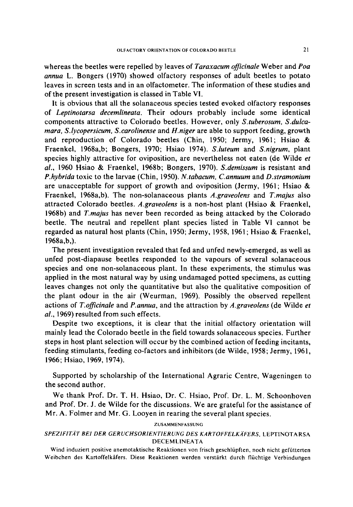whereas the beetles were repelled by leaves of *Taraxacum officinale* Weber and *Poa annua* L. Bongers (1970) showed olfactory responses of adult beetles to potato leaves in screen tests and in an olfactometer. The information of these studies and of the present investigation is classed in Table Vl.

It is obvious that all the solanaceous species tested evoked olfactory responses of *Leptinotarsa decemlineata.* Their odours probably include some identical components attractive to Colorado beetles. However, only *S.tuberosum, S.dulcamara, S.lycopersicum, S.carolinense* and *H.niger* are able to support feeding, growth and reproduction of Colorado beetles (Chin, 1950; Jermy, 1961; Hsiao & Fraenkei, 1968a,b; Bongers, 1970; Hsiao 1974). *S.luteum* and *S.nigrum,* plant species highly attractive for oviposition, are nevertheless not eaten (de Wilde *et al.,* 1960 Hsiao & Fraenkel, 1968b; Bongers, 1970). *S.demissum* is resistant and *P.hybrida* toxic to the larvae (Chin, 1950). *N.tabacum, C.annuum* and *D.stramonium*  are unacceptable for support of growth and oviposition (Jermy, 1961; Hsiao  $\&$ Fraenkel, 1968a,b). The non-solanaceous plants *A.graveolens* and *T.majus* also attracted Colorado beetles. *A.graveolens* is a non-host plant (Hsiao & Fraenkel, 1968b) and *T.majus* has never been recorded as being attacked by the Colorado beetle. The neutral and repellent plant species listed in Table Vl cannot be regarded as natural host plants (Chin, 1950; Jermy, 1958, 1961, Hsiao & Fraenkel, 1968a,b,).

The present investigation revealed that fed and unfed newly-emerged, as well as unfed post-diapause beetles responded to the vapours of several solanaceous species and one non-solanaceous plant. In these experiments, the stimulus was applied in the most natural way by using undamaged potted specimens, as cutting leaves changes not only the quantitative but also the qualitative composition of the plant odour in the air (Weurman, 1969). Possibly the observed repellent actions of *T.officinale* and *P.annua,* and the attraction by *A.graveolens* (de Wilde *et al.,* 1969) resulted from such effects.

Despite two exceptions, it is clear that the initial olfactory orientation will mainly lead the Colorado beetle in the field towards solanaceous species. Further steps in host plant selection will occur by the combined action of feeding incitants, feeding stimulants, feeding co-factors and inhibitors (de Wilde, 1958; Jermy, 1961, 1966; Hsiao, 1969, 1974).

Supported by scholarship of the International Agraric Centre, Wageningen to the second author.

We thank Prof. Dr. T. H. Hsiao, Dr. C. Hsiao, Prof. Dr. L. M. Schoonhoven and Prof. Dr. J. de Wilde for the discussions. We are grateful for the assistance of Mr. A. Folmer and Mr. G. Looyen in rearing the several plant species.

#### ZUSAMMENFASSUNG

# *SPEZIFIT/(T BEI DER GERUCHSORIENTIERUNG DES KARTOFFELK/(FERS,* LEPTINOTA RSA DECEMLINEATA

Wind induziert positive anemotaktische Reaktionen yon frisch geschliipften, noch nicht geffitterten Weibchen des Kartoffelkäfers. Diese Reaktionen werden verstärkt durch flüchtige Verbindungen